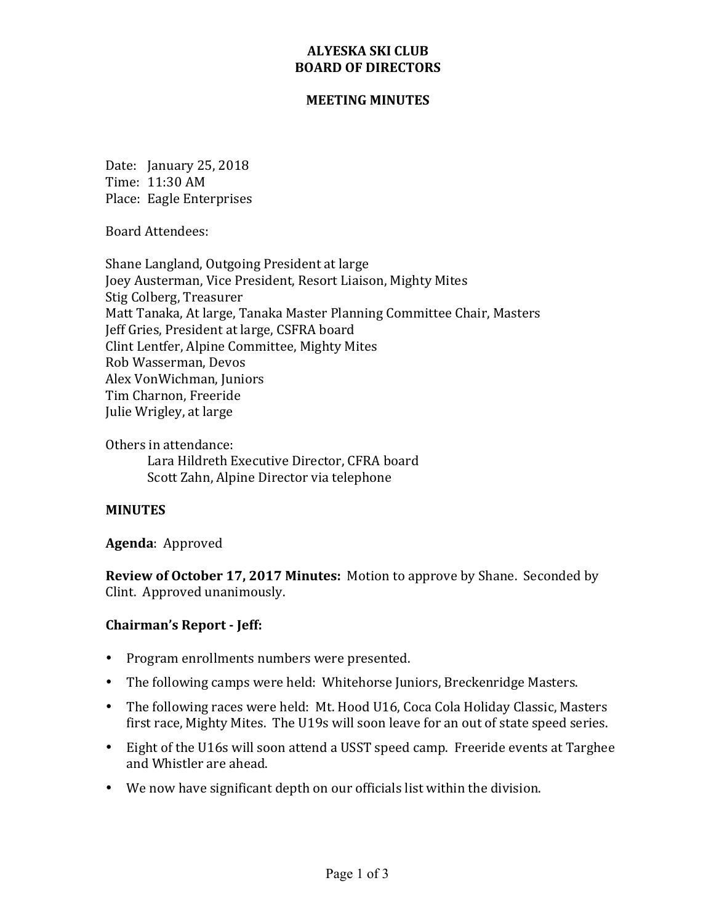## **ALYESKA SKI CLUB BOARD OF DIRECTORS**

#### **MEETING MINUTES**

Date: January 25, 2018 Time: 11:30 AM Place: Eagle Enterprises

Board Attendees:

Shane Langland, Outgoing President at large Joey Austerman, Vice President, Resort Liaison, Mighty Mites Stig Colberg, Treasurer Matt Tanaka, At large, Tanaka Master Planning Committee Chair, Masters Jeff Gries, President at large, CSFRA board Clint Lentfer, Alpine Committee, Mighty Mites Rob Wasserman, Devos Alex VonWichman, Juniors Tim Charnon, Freeride Julie Wrigley, at large

Others in attendance: Lara Hildreth Executive Director, CFRA board Scott Zahn, Alpine Director via telephone

## **MINUTES**

## Agenda: Approved

**Review of October 17, 2017 Minutes:** Motion to approve by Shane. Seconded by Clint. Approved unanimously.

## **Chairman's Report - Jeff:**

- Program enrollments numbers were presented.
- The following camps were held: Whitehorse Juniors, Breckenridge Masters.
- The following races were held: Mt. Hood U16, Coca Cola Holiday Classic, Masters first race, Mighty Mites. The U19s will soon leave for an out of state speed series.
- Eight of the U16s will soon attend a USST speed camp. Freeride events at Targhee and Whistler are ahead.
- We now have significant depth on our officials list within the division.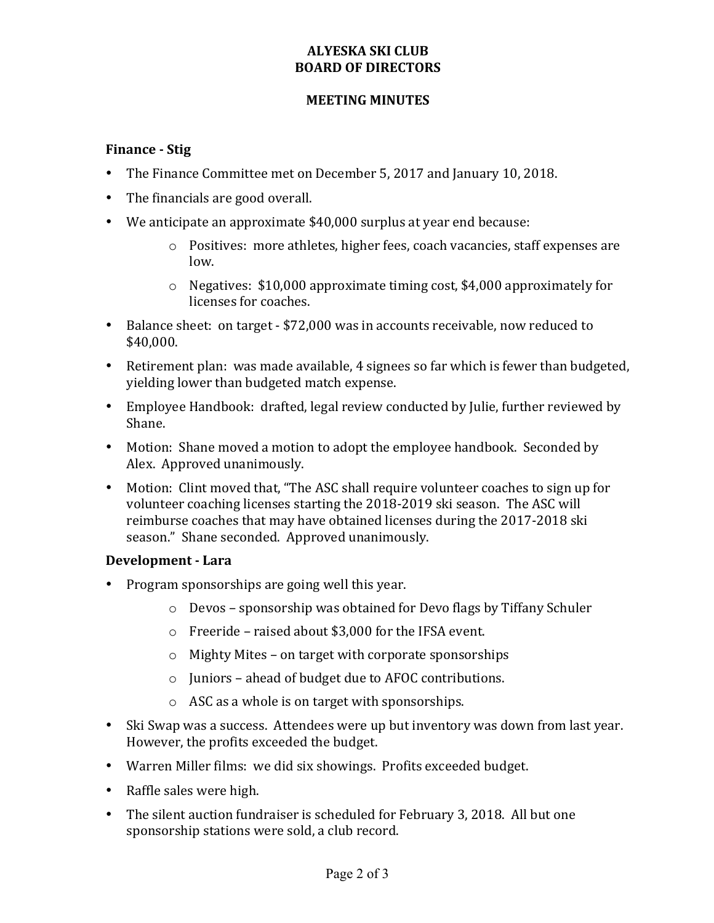# **ALYESKA SKI CLUB BOARD OF DIRECTORS**

#### **MEETING MINUTES**

## **Finance - Stig**

- The Finance Committee met on December 5, 2017 and January 10, 2018.
- The financials are good overall.
- We anticipate an approximate \$40,000 surplus at year end because:
	- $\circ$  Positives: more athletes, higher fees, coach vacancies, staff expenses are low.
	- $\circ$  Negatives: \$10,000 approximate timing cost, \$4,000 approximately for licenses for coaches.
- Balance sheet: on target \$72,000 was in accounts receivable, now reduced to \$40,000.
- Retirement plan: was made available, 4 signees so far which is fewer than budgeted, yielding lower than budgeted match expense.
- Employee Handbook: drafted, legal review conducted by Julie, further reviewed by Shane.
- Motion: Shane moved a motion to adopt the employee handbook. Seconded by Alex. Approved unanimously.
- Motion: Clint moved that, "The ASC shall require volunteer coaches to sign up for volunteer coaching licenses starting the 2018-2019 ski season. The ASC will reimburse coaches that may have obtained licenses during the 2017-2018 ski season." Shane seconded. Approved unanimously.

## **Development - Lara**

- Program sponsorships are going well this year.
	- $\circ$  Devos sponsorship was obtained for Devo flags by Tiffany Schuler
	- $\circ$  Freeride raised about \$3,000 for the IFSA event.
	- $\circ$  Mighty Mites on target with corporate sponsorships
	- $\circ$  Juniors ahead of budget due to AFOC contributions.
	- $\circ$  ASC as a whole is on target with sponsorships.
- Ski Swap was a success. Attendees were up but inventory was down from last year. However, the profits exceeded the budget.
- Warren Miller films: we did six showings. Profits exceeded budget.
- Raffle sales were high.
- The silent auction fundraiser is scheduled for February 3, 2018. All but one sponsorship stations were sold, a club record.